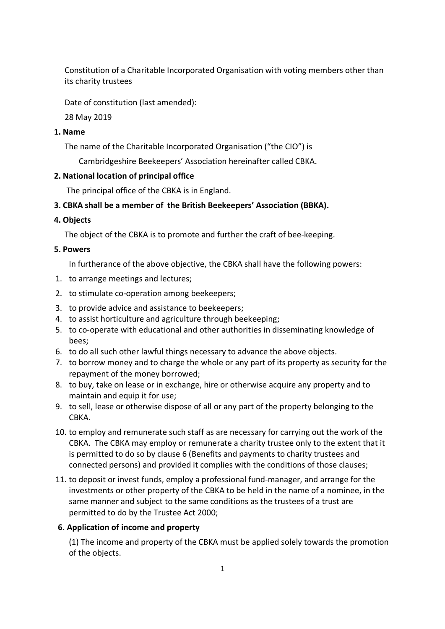Constitution of a Charitable Incorporated Organisation with voting members other than its charity trustees

Date of constitution (last amended):

28 May 2019

## **1. Name**

The name of the Charitable Incorporated Organisation ("the CIO") is

Cambridgeshire Beekeepers' Association hereinafter called CBKA.

## **2. National location of principal office**

The principal office of the CBKA is in England.

# **3. CBKA shall be a member of the British Beekeepers' Association (BBKA).**

## **4. Objects**

The object of the CBKA is to promote and further the craft of bee-keeping.

## **5. Powers**

In furtherance of the above objective, the CBKA shall have the following powers:

- 1. to arrange meetings and lectures;
- 2. to stimulate co-operation among beekeepers;
- 3. to provide advice and assistance to beekeepers;
- 4. to assist horticulture and agriculture through beekeeping;
- 5. to co-operate with educational and other authorities in disseminating knowledge of bees;
- 6. to do all such other lawful things necessary to advance the above objects.
- 7. to borrow money and to charge the whole or any part of its property as security for the repayment of the money borrowed;
- 8. to buy, take on lease or in exchange, hire or otherwise acquire any property and to maintain and equip it for use;
- 9. to sell, lease or otherwise dispose of all or any part of the property belonging to the CBKA.
- 10. to employ and remunerate such staff as are necessary for carrying out the work of the CBKA. The CBKA may employ or remunerate a charity trustee only to the extent that it is permitted to do so by clause 6 (Benefits and payments to charity trustees and connected persons) and provided it complies with the conditions of those clauses;
- 11. to deposit or invest funds, employ a professional fund-manager, and arrange for the investments or other property of the CBKA to be held in the name of a nominee, in the same manner and subject to the same conditions as the trustees of a trust are permitted to do by the Trustee Act 2000;

# **6. Application of income and property**

(1) The income and property of the CBKA must be applied solely towards the promotion of the objects.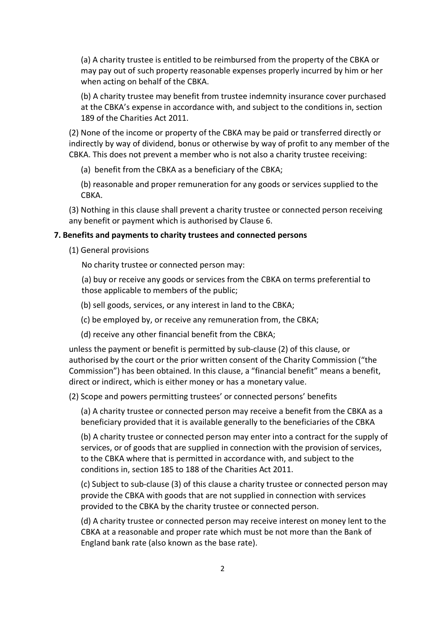(a) A charity trustee is entitled to be reimbursed from the property of the CBKA or may pay out of such property reasonable expenses properly incurred by him or her when acting on behalf of the CBKA.

(b) A charity trustee may benefit from trustee indemnity insurance cover purchased at the CBKA's expense in accordance with, and subject to the conditions in, section 189 of the Charities Act 2011.

(2) None of the income or property of the CBKA may be paid or transferred directly or indirectly by way of dividend, bonus or otherwise by way of profit to any member of the CBKA. This does not prevent a member who is not also a charity trustee receiving:

(a) benefit from the CBKA as a beneficiary of the CBKA;

(b) reasonable and proper remuneration for any goods or services supplied to the CBKA.

(3) Nothing in this clause shall prevent a charity trustee or connected person receiving any benefit or payment which is authorised by Clause 6.

### **7. Benefits and payments to charity trustees and connected persons**

(1) General provisions

No charity trustee or connected person may:

(a) buy or receive any goods or services from the CBKA on terms preferential to those applicable to members of the public;

(b) sell goods, services, or any interest in land to the CBKA;

(c) be employed by, or receive any remuneration from, the CBKA;

(d) receive any other financial benefit from the CBKA;

unless the payment or benefit is permitted by sub-clause (2) of this clause, or authorised by the court or the prior written consent of the Charity Commission ("the Commission") has been obtained. In this clause, a "financial benefit" means a benefit, direct or indirect, which is either money or has a monetary value.

(2) Scope and powers permitting trustees' or connected persons' benefits

(a) A charity trustee or connected person may receive a benefit from the CBKA as a beneficiary provided that it is available generally to the beneficiaries of the CBKA

(b) A charity trustee or connected person may enter into a contract for the supply of services, or of goods that are supplied in connection with the provision of services, to the CBKA where that is permitted in accordance with, and subject to the conditions in, section 185 to 188 of the Charities Act 2011.

(c) Subject to sub-clause (3) of this clause a charity trustee or connected person may provide the CBKA with goods that are not supplied in connection with services provided to the CBKA by the charity trustee or connected person.

(d) A charity trustee or connected person may receive interest on money lent to the CBKA at a reasonable and proper rate which must be not more than the Bank of England bank rate (also known as the base rate).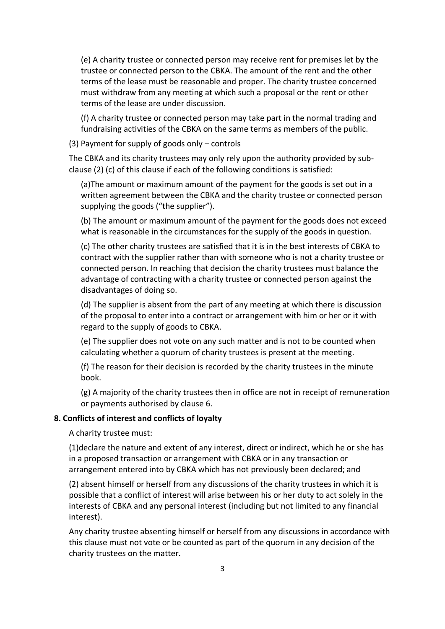(e) A charity trustee or connected person may receive rent for premises let by the trustee or connected person to the CBKA. The amount of the rent and the other terms of the lease must be reasonable and proper. The charity trustee concerned must withdraw from any meeting at which such a proposal or the rent or other terms of the lease are under discussion.

(f) A charity trustee or connected person may take part in the normal trading and fundraising activities of the CBKA on the same terms as members of the public.

(3) Payment for supply of goods only – controls

The CBKA and its charity trustees may only rely upon the authority provided by subclause (2) (c) of this clause if each of the following conditions is satisfied:

(a)The amount or maximum amount of the payment for the goods is set out in a written agreement between the CBKA and the charity trustee or connected person supplying the goods ("the supplier").

(b) The amount or maximum amount of the payment for the goods does not exceed what is reasonable in the circumstances for the supply of the goods in question.

(c) The other charity trustees are satisfied that it is in the best interests of CBKA to contract with the supplier rather than with someone who is not a charity trustee or connected person. In reaching that decision the charity trustees must balance the advantage of contracting with a charity trustee or connected person against the disadvantages of doing so.

(d) The supplier is absent from the part of any meeting at which there is discussion of the proposal to enter into a contract or arrangement with him or her or it with regard to the supply of goods to CBKA.

(e) The supplier does not vote on any such matter and is not to be counted when calculating whether a quorum of charity trustees is present at the meeting.

(f) The reason for their decision is recorded by the charity trustees in the minute book.

(g) A majority of the charity trustees then in office are not in receipt of remuneration or payments authorised by clause 6.

### **8. Conflicts of interest and conflicts of loyalty**

A charity trustee must:

(1)declare the nature and extent of any interest, direct or indirect, which he or she has in a proposed transaction or arrangement with CBKA or in any transaction or arrangement entered into by CBKA which has not previously been declared; and

(2) absent himself or herself from any discussions of the charity trustees in which it is possible that a conflict of interest will arise between his or her duty to act solely in the interests of CBKA and any personal interest (including but not limited to any financial interest).

Any charity trustee absenting himself or herself from any discussions in accordance with this clause must not vote or be counted as part of the quorum in any decision of the charity trustees on the matter.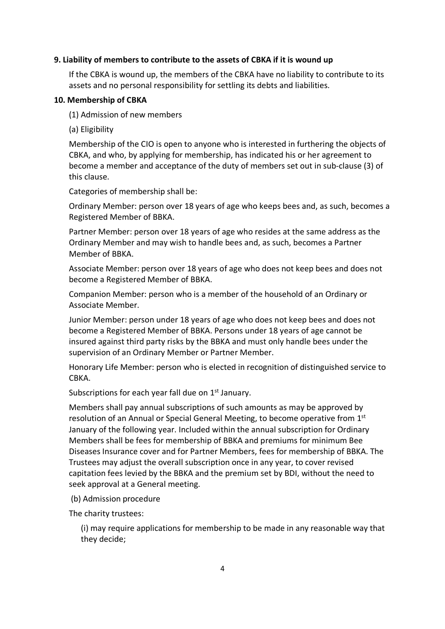### **9. Liability of members to contribute to the assets of CBKA if it is wound up**

If the CBKA is wound up, the members of the CBKA have no liability to contribute to its assets and no personal responsibility for settling its debts and liabilities.

#### **10. Membership of CBKA**

(1) Admission of new members

(a) Eligibility

Membership of the CIO is open to anyone who is interested in furthering the objects of CBKA, and who, by applying for membership, has indicated his or her agreement to become a member and acceptance of the duty of members set out in sub-clause (3) of this clause.

Categories of membership shall be:

Ordinary Member: person over 18 years of age who keeps bees and, as such, becomes a Registered Member of BBKA.

Partner Member: person over 18 years of age who resides at the same address as the Ordinary Member and may wish to handle bees and, as such, becomes a Partner Member of BBKA.

Associate Member: person over 18 years of age who does not keep bees and does not become a Registered Member of BBKA.

Companion Member: person who is a member of the household of an Ordinary or Associate Member.

Junior Member: person under 18 years of age who does not keep bees and does not become a Registered Member of BBKA. Persons under 18 years of age cannot be insured against third party risks by the BBKA and must only handle bees under the supervision of an Ordinary Member or Partner Member.

Honorary Life Member: person who is elected in recognition of distinguished service to CBKA.

Subscriptions for each year fall due on 1<sup>st</sup> January.

Members shall pay annual subscriptions of such amounts as may be approved by resolution of an Annual or Special General Meeting, to become operative from 1<sup>st</sup> January of the following year. Included within the annual subscription for Ordinary Members shall be fees for membership of BBKA and premiums for minimum Bee Diseases Insurance cover and for Partner Members, fees for membership of BBKA. The Trustees may adjust the overall subscription once in any year, to cover revised capitation fees levied by the BBKA and the premium set by BDI, without the need to seek approval at a General meeting.

(b) Admission procedure

The charity trustees:

(i) may require applications for membership to be made in any reasonable way that they decide;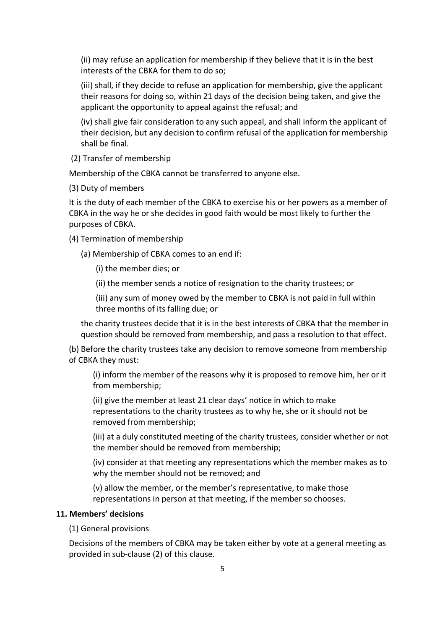(ii) may refuse an application for membership if they believe that it is in the best interests of the CBKA for them to do so;

(iii) shall, if they decide to refuse an application for membership, give the applicant their reasons for doing so, within 21 days of the decision being taken, and give the applicant the opportunity to appeal against the refusal; and

(iv) shall give fair consideration to any such appeal, and shall inform the applicant of their decision, but any decision to confirm refusal of the application for membership shall be final.

(2) Transfer of membership

Membership of the CBKA cannot be transferred to anyone else.

(3) Duty of members

It is the duty of each member of the CBKA to exercise his or her powers as a member of CBKA in the way he or she decides in good faith would be most likely to further the purposes of CBKA.

(4) Termination of membership

(a) Membership of CBKA comes to an end if:

(i) the member dies; or

(ii) the member sends a notice of resignation to the charity trustees; or

(iii) any sum of money owed by the member to CBKA is not paid in full within three months of its falling due; or

the charity trustees decide that it is in the best interests of CBKA that the member in question should be removed from membership, and pass a resolution to that effect.

(b) Before the charity trustees take any decision to remove someone from membership of CBKA they must:

(i) inform the member of the reasons why it is proposed to remove him, her or it from membership;

(ii) give the member at least 21 clear days' notice in which to make representations to the charity trustees as to why he, she or it should not be removed from membership;

(iii) at a duly constituted meeting of the charity trustees, consider whether or not the member should be removed from membership;

(iv) consider at that meeting any representations which the member makes as to why the member should not be removed; and

(v) allow the member, or the member's representative, to make those representations in person at that meeting, if the member so chooses.

### **11. Members' decisions**

(1) General provisions

Decisions of the members of CBKA may be taken either by vote at a general meeting as provided in sub-clause (2) of this clause.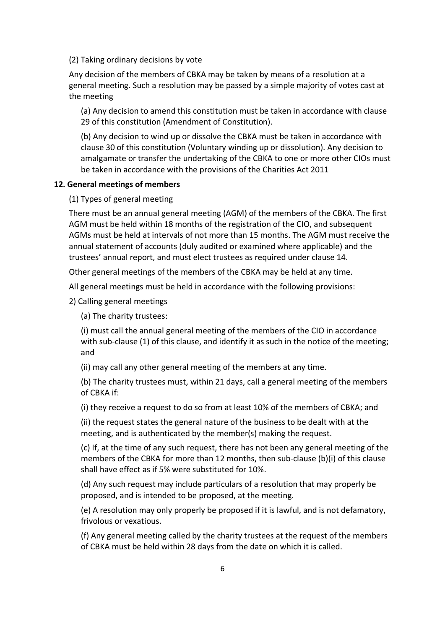(2) Taking ordinary decisions by vote

Any decision of the members of CBKA may be taken by means of a resolution at a general meeting. Such a resolution may be passed by a simple majority of votes cast at the meeting

(a) Any decision to amend this constitution must be taken in accordance with clause 29 of this constitution (Amendment of Constitution).

(b) Any decision to wind up or dissolve the CBKA must be taken in accordance with clause 30 of this constitution (Voluntary winding up or dissolution). Any decision to amalgamate or transfer the undertaking of the CBKA to one or more other CIOs must be taken in accordance with the provisions of the Charities Act 2011

#### **12. General meetings of members**

(1) Types of general meeting

There must be an annual general meeting (AGM) of the members of the CBKA. The first AGM must be held within 18 months of the registration of the CIO, and subsequent AGMs must be held at intervals of not more than 15 months. The AGM must receive the annual statement of accounts (duly audited or examined where applicable) and the trustees' annual report, and must elect trustees as required under clause 14.

Other general meetings of the members of the CBKA may be held at any time.

All general meetings must be held in accordance with the following provisions:

2) Calling general meetings

(a) The charity trustees:

(i) must call the annual general meeting of the members of the CIO in accordance with sub-clause (1) of this clause, and identify it as such in the notice of the meeting; and

(ii) may call any other general meeting of the members at any time.

(b) The charity trustees must, within 21 days, call a general meeting of the members of CBKA if:

(i) they receive a request to do so from at least 10% of the members of CBKA; and

(ii) the request states the general nature of the business to be dealt with at the meeting, and is authenticated by the member(s) making the request.

(c) If, at the time of any such request, there has not been any general meeting of the members of the CBKA for more than 12 months, then sub-clause (b)(i) of this clause shall have effect as if 5% were substituted for 10%.

(d) Any such request may include particulars of a resolution that may properly be proposed, and is intended to be proposed, at the meeting.

(e) A resolution may only properly be proposed if it is lawful, and is not defamatory, frivolous or vexatious.

(f) Any general meeting called by the charity trustees at the request of the members of CBKA must be held within 28 days from the date on which it is called.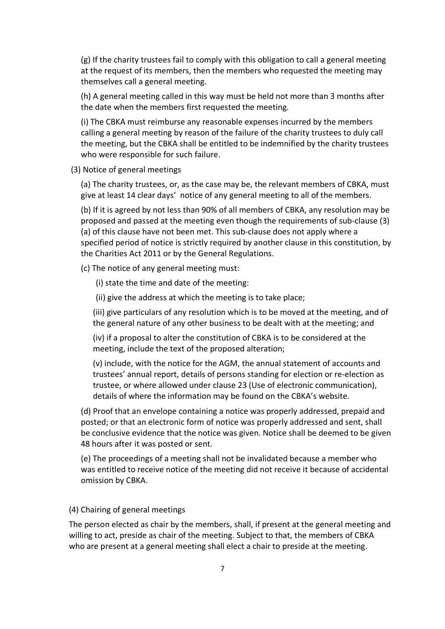(g) If the charity trustees fail to comply with this obligation to call a general meeting at the request of its members, then the members who requested the meeting may themselves call a general meeting.

(h) A general meeting called in this way must be held not more than 3 months after the date when the members first requested the meeting.

(i) The CBKA must reimburse any reasonable expenses incurred by the members calling a general meeting by reason of the failure of the charity trustees to duly call the meeting, but the CBKA shall be entitled to be indemnified by the charity trustees who were responsible for such failure.

(3) Notice of general meetings

(a) The charity trustees, or, as the case may be, the relevant members of CBKA, must give at least 14 clear days' notice of any general meeting to all of the members.

(b) If it is agreed by not less than 90% of all members of CBKA, any resolution may be proposed and passed at the meeting even though the requirements of sub-clause (3) (a) of this clause have not been met. This sub-clause does not apply where a specified period of notice is strictly required by another clause in this constitution, by the Charities Act 2011 or by the General Regulations.

(c) The notice of any general meeting must:

(i) state the time and date of the meeting:

(ii) give the address at which the meeting is to take place;

(iii) give particulars of any resolution which is to be moved at the meeting, and of the general nature of any other business to be dealt with at the meeting; and

(iv) if a proposal to alter the constitution of CBKA is to be considered at the meeting, include the text of the proposed alteration;

(v) include, with the notice for the AGM, the annual statement of accounts and trustees' annual report, details of persons standing for election or re-election as trustee, or where allowed under clause 23 (Use of electronic communication), details of where the information may be found on the CBKA's website.

(d) Proof that an envelope containing a notice was properly addressed, prepaid and posted; or that an electronic form of notice was properly addressed and sent, shall be conclusive evidence that the notice was given. Notice shall be deemed to be given 48 hours after it was posted or sent.

(e) The proceedings of a meeting shall not be invalidated because a member who was entitled to receive notice of the meeting did not receive it because of accidental omission by CBKA.

#### (4) Chairing of general meetings

The person elected as chair by the members, shall, if present at the general meeting and willing to act, preside as chair of the meeting. Subject to that, the members of CBKA who are present at a general meeting shall elect a chair to preside at the meeting.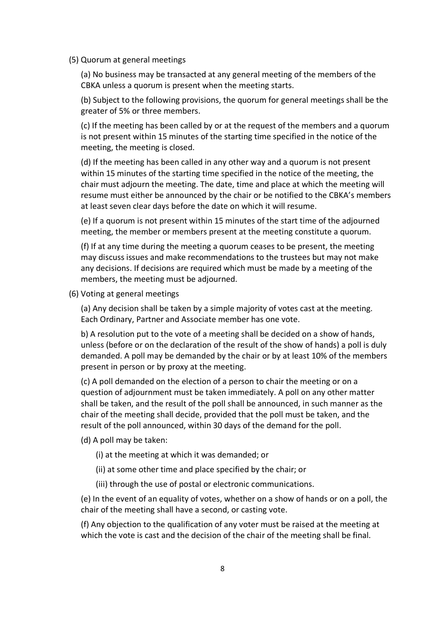(5) Quorum at general meetings

(a) No business may be transacted at any general meeting of the members of the CBKA unless a quorum is present when the meeting starts.

(b) Subject to the following provisions, the quorum for general meetings shall be the greater of 5% or three members.

(c) If the meeting has been called by or at the request of the members and a quorum is not present within 15 minutes of the starting time specified in the notice of the meeting, the meeting is closed.

(d) If the meeting has been called in any other way and a quorum is not present within 15 minutes of the starting time specified in the notice of the meeting, the chair must adjourn the meeting. The date, time and place at which the meeting will resume must either be announced by the chair or be notified to the CBKA's members at least seven clear days before the date on which it will resume.

(e) If a quorum is not present within 15 minutes of the start time of the adjourned meeting, the member or members present at the meeting constitute a quorum.

(f) If at any time during the meeting a quorum ceases to be present, the meeting may discuss issues and make recommendations to the trustees but may not make any decisions. If decisions are required which must be made by a meeting of the members, the meeting must be adjourned.

(6) Voting at general meetings

(a) Any decision shall be taken by a simple majority of votes cast at the meeting. Each Ordinary, Partner and Associate member has one vote.

b) A resolution put to the vote of a meeting shall be decided on a show of hands, unless (before or on the declaration of the result of the show of hands) a poll is duly demanded. A poll may be demanded by the chair or by at least 10% of the members present in person or by proxy at the meeting.

(c) A poll demanded on the election of a person to chair the meeting or on a question of adjournment must be taken immediately. A poll on any other matter shall be taken, and the result of the poll shall be announced, in such manner as the chair of the meeting shall decide, provided that the poll must be taken, and the result of the poll announced, within 30 days of the demand for the poll.

(d) A poll may be taken:

- (i) at the meeting at which it was demanded; or
- (ii) at some other time and place specified by the chair; or
- (iii) through the use of postal or electronic communications.

(e) In the event of an equality of votes, whether on a show of hands or on a poll, the chair of the meeting shall have a second, or casting vote.

(f) Any objection to the qualification of any voter must be raised at the meeting at which the vote is cast and the decision of the chair of the meeting shall be final.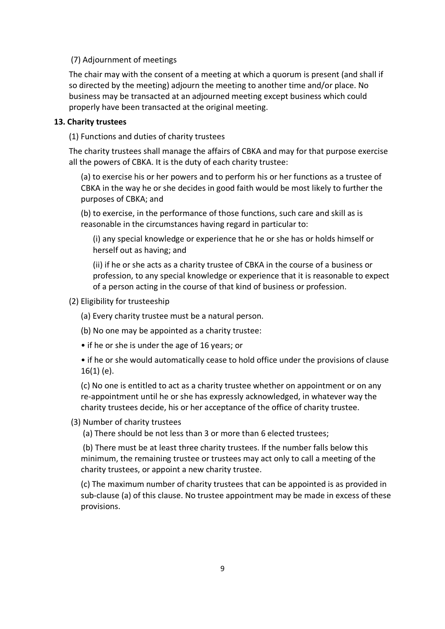### (7) Adjournment of meetings

The chair may with the consent of a meeting at which a quorum is present (and shall if so directed by the meeting) adjourn the meeting to another time and/or place. No business may be transacted at an adjourned meeting except business which could properly have been transacted at the original meeting.

### **13. Charity trustees**

(1) Functions and duties of charity trustees

The charity trustees shall manage the affairs of CBKA and may for that purpose exercise all the powers of CBKA. It is the duty of each charity trustee:

(a) to exercise his or her powers and to perform his or her functions as a trustee of CBKA in the way he or she decides in good faith would be most likely to further the purposes of CBKA; and

(b) to exercise, in the performance of those functions, such care and skill as is reasonable in the circumstances having regard in particular to:

(i) any special knowledge or experience that he or she has or holds himself or herself out as having; and

(ii) if he or she acts as a charity trustee of CBKA in the course of a business or profession, to any special knowledge or experience that it is reasonable to expect of a person acting in the course of that kind of business or profession.

(2) Eligibility for trusteeship

(a) Every charity trustee must be a natural person.

(b) No one may be appointed as a charity trustee:

• if he or she is under the age of 16 years; or

• if he or she would automatically cease to hold office under the provisions of clause 16(1) (e).

(c) No one is entitled to act as a charity trustee whether on appointment or on any re-appointment until he or she has expressly acknowledged, in whatever way the charity trustees decide, his or her acceptance of the office of charity trustee.

#### (3) Number of charity trustees

(a) There should be not less than 3 or more than 6 elected trustees;

(b) There must be at least three charity trustees. If the number falls below this minimum, the remaining trustee or trustees may act only to call a meeting of the charity trustees, or appoint a new charity trustee.

(c) The maximum number of charity trustees that can be appointed is as provided in sub-clause (a) of this clause. No trustee appointment may be made in excess of these provisions.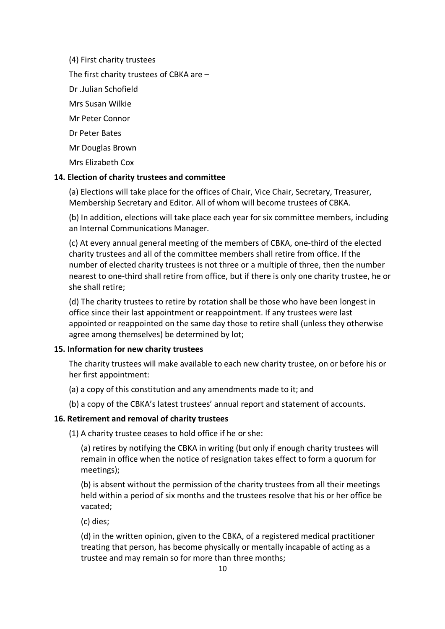(4) First charity trustees The first charity trustees of CBKA are – Dr .Julian Schofield Mrs Susan Wilkie Mr Peter Connor Dr Peter Bates Mr Douglas Brown Mrs Elizabeth Cox

### **14. Election of charity trustees and committee**

(a) Elections will take place for the offices of Chair, Vice Chair, Secretary, Treasurer, Membership Secretary and Editor. All of whom will become trustees of CBKA.

(b) In addition, elections will take place each year for six committee members, including an Internal Communications Manager.

(c) At every annual general meeting of the members of CBKA, one-third of the elected charity trustees and all of the committee members shall retire from office. If the number of elected charity trustees is not three or a multiple of three, then the number nearest to one-third shall retire from office, but if there is only one charity trustee, he or she shall retire;

(d) The charity trustees to retire by rotation shall be those who have been longest in office since their last appointment or reappointment. If any trustees were last appointed or reappointed on the same day those to retire shall (unless they otherwise agree among themselves) be determined by lot;

#### **15. Information for new charity trustees**

The charity trustees will make available to each new charity trustee, on or before his or her first appointment:

(a) a copy of this constitution and any amendments made to it; and

(b) a copy of the CBKA's latest trustees' annual report and statement of accounts.

#### **16. Retirement and removal of charity trustees**

(1) A charity trustee ceases to hold office if he or she:

(a) retires by notifying the CBKA in writing (but only if enough charity trustees will remain in office when the notice of resignation takes effect to form a quorum for meetings);

(b) is absent without the permission of the charity trustees from all their meetings held within a period of six months and the trustees resolve that his or her office be vacated;

(c) dies;

(d) in the written opinion, given to the CBKA, of a registered medical practitioner treating that person, has become physically or mentally incapable of acting as a trustee and may remain so for more than three months;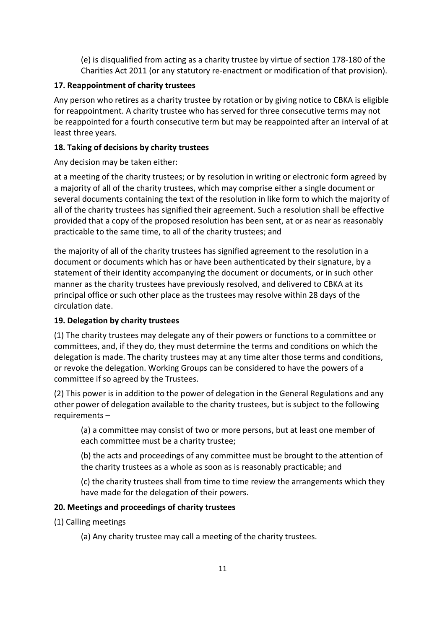(e) is disqualified from acting as a charity trustee by virtue of section 178-180 of the Charities Act 2011 (or any statutory re-enactment or modification of that provision).

# **17. Reappointment of charity trustees**

Any person who retires as a charity trustee by rotation or by giving notice to CBKA is eligible for reappointment. A charity trustee who has served for three consecutive terms may not be reappointed for a fourth consecutive term but may be reappointed after an interval of at least three years.

# **18. Taking of decisions by charity trustees**

Any decision may be taken either:

at a meeting of the charity trustees; or by resolution in writing or electronic form agreed by a majority of all of the charity trustees, which may comprise either a single document or several documents containing the text of the resolution in like form to which the majority of all of the charity trustees has signified their agreement. Such a resolution shall be effective provided that a copy of the proposed resolution has been sent, at or as near as reasonably practicable to the same time, to all of the charity trustees; and

the majority of all of the charity trustees has signified agreement to the resolution in a document or documents which has or have been authenticated by their signature, by a statement of their identity accompanying the document or documents, or in such other manner as the charity trustees have previously resolved, and delivered to CBKA at its principal office or such other place as the trustees may resolve within 28 days of the circulation date.

# **19. Delegation by charity trustees**

(1) The charity trustees may delegate any of their powers or functions to a committee or committees, and, if they do, they must determine the terms and conditions on which the delegation is made. The charity trustees may at any time alter those terms and conditions, or revoke the delegation. Working Groups can be considered to have the powers of a committee if so agreed by the Trustees.

(2) This power is in addition to the power of delegation in the General Regulations and any other power of delegation available to the charity trustees, but is subject to the following requirements –

(a) a committee may consist of two or more persons, but at least one member of each committee must be a charity trustee;

(b) the acts and proceedings of any committee must be brought to the attention of the charity trustees as a whole as soon as is reasonably practicable; and

(c) the charity trustees shall from time to time review the arrangements which they have made for the delegation of their powers.

# **20. Meetings and proceedings of charity trustees**

- (1) Calling meetings
	- (a) Any charity trustee may call a meeting of the charity trustees.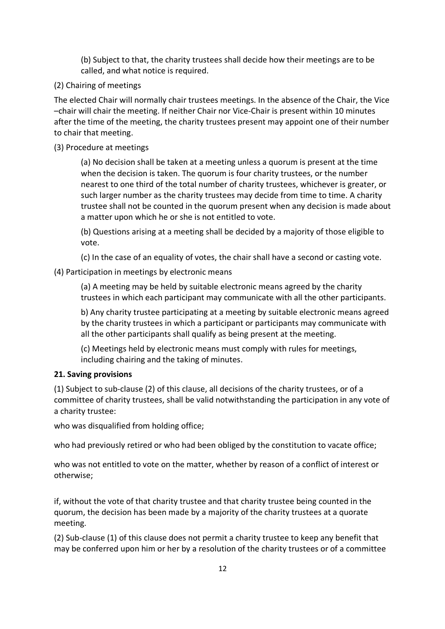(b) Subject to that, the charity trustees shall decide how their meetings are to be called, and what notice is required.

# (2) Chairing of meetings

The elected Chair will normally chair trustees meetings. In the absence of the Chair, the Vice –chair will chair the meeting. If neither Chair nor Vice-Chair is present within 10 minutes after the time of the meeting, the charity trustees present may appoint one of their number to chair that meeting.

### (3) Procedure at meetings

(a) No decision shall be taken at a meeting unless a quorum is present at the time when the decision is taken. The quorum is four charity trustees, or the number nearest to one third of the total number of charity trustees, whichever is greater, or such larger number as the charity trustees may decide from time to time. A charity trustee shall not be counted in the quorum present when any decision is made about a matter upon which he or she is not entitled to vote.

(b) Questions arising at a meeting shall be decided by a majority of those eligible to vote.

(c) In the case of an equality of votes, the chair shall have a second or casting vote.

(4) Participation in meetings by electronic means

(a) A meeting may be held by suitable electronic means agreed by the charity trustees in which each participant may communicate with all the other participants.

b) Any charity trustee participating at a meeting by suitable electronic means agreed by the charity trustees in which a participant or participants may communicate with all the other participants shall qualify as being present at the meeting.

(c) Meetings held by electronic means must comply with rules for meetings, including chairing and the taking of minutes.

### **21. Saving provisions**

(1) Subject to sub-clause (2) of this clause, all decisions of the charity trustees, or of a committee of charity trustees, shall be valid notwithstanding the participation in any vote of a charity trustee:

who was disqualified from holding office;

who had previously retired or who had been obliged by the constitution to vacate office;

who was not entitled to vote on the matter, whether by reason of a conflict of interest or otherwise;

if, without the vote of that charity trustee and that charity trustee being counted in the quorum, the decision has been made by a majority of the charity trustees at a quorate meeting.

(2) Sub-clause (1) of this clause does not permit a charity trustee to keep any benefit that may be conferred upon him or her by a resolution of the charity trustees or of a committee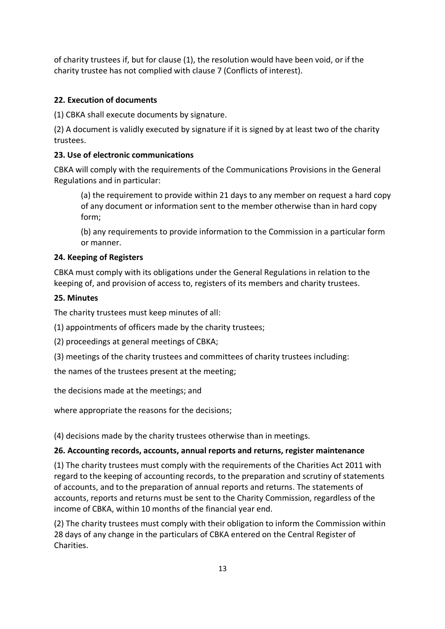of charity trustees if, but for clause (1), the resolution would have been void, or if the charity trustee has not complied with clause 7 (Conflicts of interest).

# **22. Execution of documents**

(1) CBKA shall execute documents by signature.

(2) A document is validly executed by signature if it is signed by at least two of the charity trustees.

# **23. Use of electronic communications**

CBKA will comply with the requirements of the Communications Provisions in the General Regulations and in particular:

(a) the requirement to provide within 21 days to any member on request a hard copy of any document or information sent to the member otherwise than in hard copy form;

(b) any requirements to provide information to the Commission in a particular form or manner.

## **24. Keeping of Registers**

CBKA must comply with its obligations under the General Regulations in relation to the keeping of, and provision of access to, registers of its members and charity trustees.

## **25. Minutes**

The charity trustees must keep minutes of all:

(1) appointments of officers made by the charity trustees;

(2) proceedings at general meetings of CBKA;

(3) meetings of the charity trustees and committees of charity trustees including:

the names of the trustees present at the meeting;

the decisions made at the meetings; and

where appropriate the reasons for the decisions;

(4) decisions made by the charity trustees otherwise than in meetings.

# **26. Accounting records, accounts, annual reports and returns, register maintenance**

(1) The charity trustees must comply with the requirements of the Charities Act 2011 with regard to the keeping of accounting records, to the preparation and scrutiny of statements of accounts, and to the preparation of annual reports and returns. The statements of accounts, reports and returns must be sent to the Charity Commission, regardless of the income of CBKA, within 10 months of the financial year end.

(2) The charity trustees must comply with their obligation to inform the Commission within 28 days of any change in the particulars of CBKA entered on the Central Register of Charities.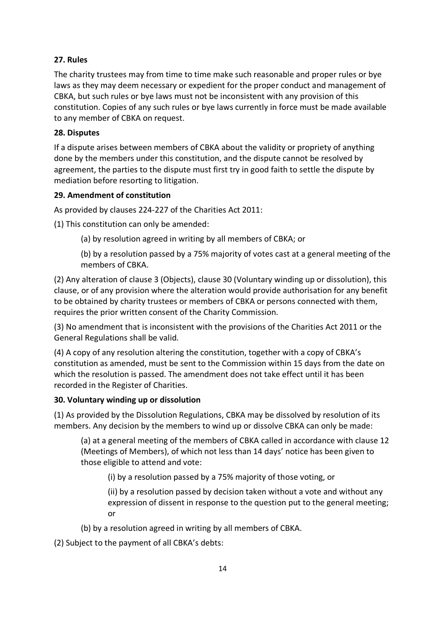# **27. Rules**

The charity trustees may from time to time make such reasonable and proper rules or bye laws as they may deem necessary or expedient for the proper conduct and management of CBKA, but such rules or bye laws must not be inconsistent with any provision of this constitution. Copies of any such rules or bye laws currently in force must be made available to any member of CBKA on request.

# **28. Disputes**

If a dispute arises between members of CBKA about the validity or propriety of anything done by the members under this constitution, and the dispute cannot be resolved by agreement, the parties to the dispute must first try in good faith to settle the dispute by mediation before resorting to litigation.

## **29. Amendment of constitution**

As provided by clauses 224-227 of the Charities Act 2011:

(1) This constitution can only be amended:

- (a) by resolution agreed in writing by all members of CBKA; or
- (b) by a resolution passed by a 75% majority of votes cast at a general meeting of the members of CBKA.

(2) Any alteration of clause 3 (Objects), clause 30 (Voluntary winding up or dissolution), this clause, or of any provision where the alteration would provide authorisation for any benefit to be obtained by charity trustees or members of CBKA or persons connected with them, requires the prior written consent of the Charity Commission.

(3) No amendment that is inconsistent with the provisions of the Charities Act 2011 or the General Regulations shall be valid.

(4) A copy of any resolution altering the constitution, together with a copy of CBKA's constitution as amended, must be sent to the Commission within 15 days from the date on which the resolution is passed. The amendment does not take effect until it has been recorded in the Register of Charities.

### **30. Voluntary winding up or dissolution**

(1) As provided by the Dissolution Regulations, CBKA may be dissolved by resolution of its members. Any decision by the members to wind up or dissolve CBKA can only be made:

(a) at a general meeting of the members of CBKA called in accordance with clause 12 (Meetings of Members), of which not less than 14 days' notice has been given to those eligible to attend and vote:

(i) by a resolution passed by a 75% majority of those voting, or

(ii) by a resolution passed by decision taken without a vote and without any expression of dissent in response to the question put to the general meeting; or

(b) by a resolution agreed in writing by all members of CBKA.

(2) Subject to the payment of all CBKA's debts: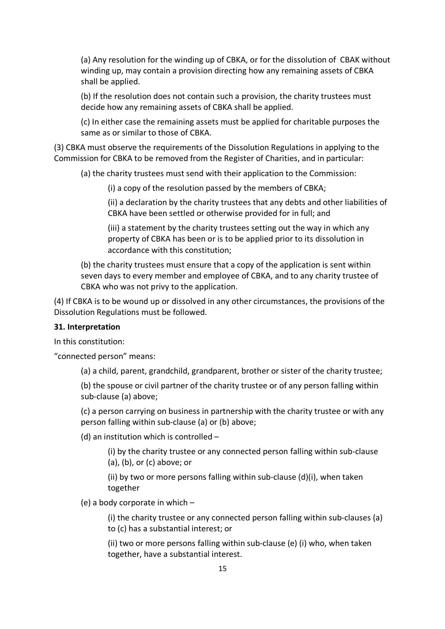(a) Any resolution for the winding up of CBKA, or for the dissolution of CBAK without winding up, may contain a provision directing how any remaining assets of CBKA shall be applied.

(b) If the resolution does not contain such a provision, the charity trustees must decide how any remaining assets of CBKA shall be applied.

(c) In either case the remaining assets must be applied for charitable purposes the same as or similar to those of CBKA.

(3) CBKA must observe the requirements of the Dissolution Regulations in applying to the Commission for CBKA to be removed from the Register of Charities, and in particular:

(a) the charity trustees must send with their application to the Commission:

(i) a copy of the resolution passed by the members of CBKA;

(ii) a declaration by the charity trustees that any debts and other liabilities of CBKA have been settled or otherwise provided for in full; and

(iii) a statement by the charity trustees setting out the way in which any property of CBKA has been or is to be applied prior to its dissolution in accordance with this constitution;

(b) the charity trustees must ensure that a copy of the application is sent within seven days to every member and employee of CBKA, and to any charity trustee of CBKA who was not privy to the application.

(4) If CBKA is to be wound up or dissolved in any other circumstances, the provisions of the Dissolution Regulations must be followed.

#### **31. Interpretation**

In this constitution:

"connected person" means:

(a) a child, parent, grandchild, grandparent, brother or sister of the charity trustee;

(b) the spouse or civil partner of the charity trustee or of any person falling within sub-clause (a) above;

(c) a person carrying on business in partnership with the charity trustee or with any person falling within sub-clause (a) or (b) above;

(d) an institution which is controlled –

(i) by the charity trustee or any connected person falling within sub-clause (a), (b), or (c) above; or

(ii) by two or more persons falling within sub-clause (d)(i), when taken together

(e) a body corporate in which –

(i) the charity trustee or any connected person falling within sub-clauses (a) to (c) has a substantial interest; or

(ii) two or more persons falling within sub-clause (e) (i) who, when taken together, have a substantial interest.